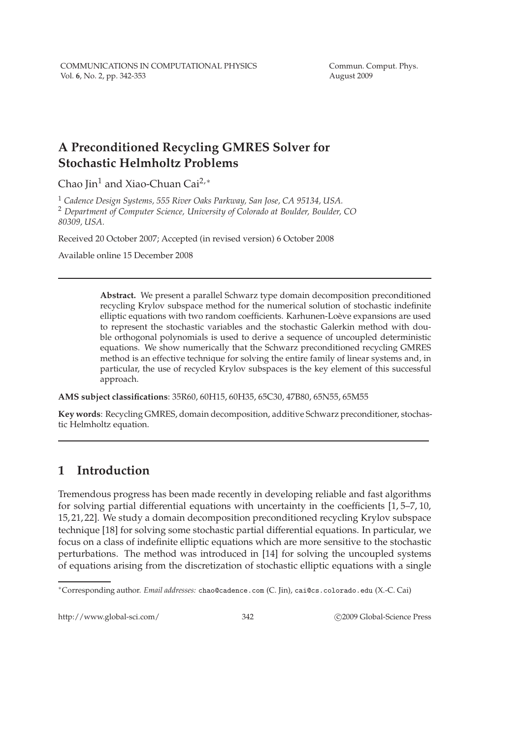# **A Preconditioned Recycling GMRES Solver for Stochastic Helmholtz Problems**

Chao Jin<sup>1</sup> and Xiao-Chuan Cai<sup>2,∗</sup>

<sup>1</sup> *Cadence Design Systems, 555 River Oaks Parkway, San Jose, CA 95134, USA.* <sup>2</sup> *Department of Computer Science, University of Colorado at Boulder, Boulder, CO 80309, USA.*

Received 20 October 2007; Accepted (in revised version) 6 October 2008

Available online 15 December 2008

**Abstract.** We present a parallel Schwarz type domain decomposition preconditioned recycling Krylov subspace method for the numerical solution of stochastic indefinite elliptic equations with two random coefficients. Karhunen-Loève expansions are used to represent the stochastic variables and the stochastic Galerkin method with double orthogonal polynomials is used to derive a sequence of uncoupled deterministic equations. We show numerically that the Schwarz preconditioned recycling GMRES method is an effective technique for solving the entire family of linear systems and, in particular, the use of recycled Krylov subspaces is the key element of this successful approach.

**AMS subject classifications**: 35R60, 60H15, 60H35, 65C30, 47B80, 65N55, 65M55

**Key words**: Recycling GMRES, domain decomposition, additive Schwarz preconditioner, stochastic Helmholtz equation.

# **1 Introduction**

Tremendous progress has been made recently in developing reliable and fast algorithms for solving partial differential equations with uncertainty in the coefficients [1, 5–7, 10, 15, 21, 22]. We study a domain decomposition preconditioned recycling Krylov subspace technique [18] for solving some stochastic partial differential equations. In particular, we focus on a class of indefinite elliptic equations which are more sensitive to the stochastic perturbations. The method was introduced in [14] for solving the uncoupled systems of equations arising from the discretization of stochastic elliptic equations with a single

http://www.global-sci.com/ 342 c 2009 Global-Science Press

<sup>∗</sup>Corresponding author. *Email addresses:* chao@cadence.com (C. Jin), cai@cs.colorado.edu (X.-C. Cai)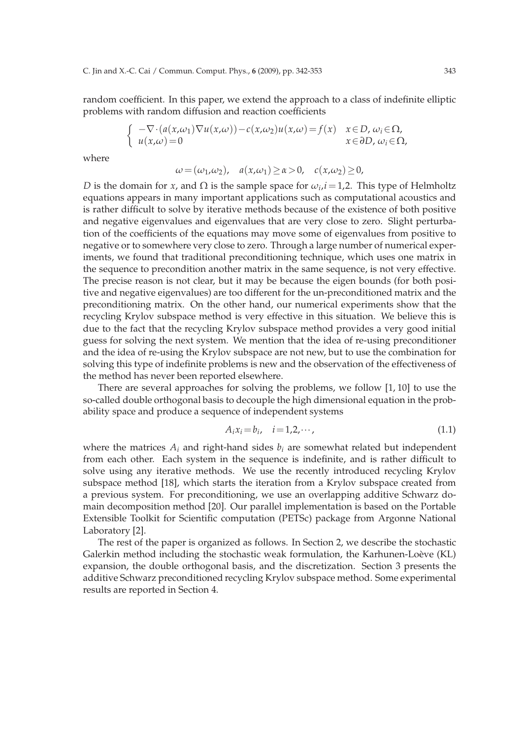random coefficient. In this paper, we extend the approach to a class of indefinite elliptic problems with random diffusion and reaction coefficients

$$
\begin{cases}\n-\nabla \cdot (a(x,\omega_1) \nabla u(x,\omega)) - c(x,\omega_2) u(x,\omega) = f(x) & x \in D, \omega_i \in \Omega, \\
u(x,\omega) = 0 & x \in \partial D, \omega_i \in \Omega,\n\end{cases}
$$

where

$$
\omega = (\omega_1, \omega_2), \quad a(x, \omega_1) \ge \alpha > 0, \quad c(x, \omega_2) \ge 0,
$$

*D* is the domain for *x*, and  $\Omega$  is the sample space for  $\omega_i$ , *i* = 1,2. This type of Helmholtz equations appears in many important applications such as computational acoustics and is rather difficult to solve by iterative methods because of the existence of both positive and negative eigenvalues and eigenvalues that are very close to zero. Slight perturbation of the coefficients of the equations may move some of eigenvalues from positive to negative or to somewhere very close to zero. Through a large number of numerical experiments, we found that traditional preconditioning technique, which uses one matrix in the sequence to precondition another matrix in the same sequence, is not very effective. The precise reason is not clear, but it may be because the eigen bounds (for both positive and negative eigenvalues) are too different for the un-preconditioned matrix and the preconditioning matrix. On the other hand, our numerical experiments show that the recycling Krylov subspace method is very effective in this situation. We believe this is due to the fact that the recycling Krylov subspace method provides a very good initial guess for solving the next system. We mention that the idea of re-using preconditioner and the idea of re-using the Krylov subspace are not new, but to use the combination for solving this type of indefinite problems is new and the observation of the effectiveness of the method has never been reported elsewhere.

There are several approaches for solving the problems, we follow [1, 10] to use the so-called double orthogonal basis to decouple the high dimensional equation in the probability space and produce a sequence of independent systems

$$
A_i x_i = b_i, \quad i = 1, 2, \cdots,
$$
\n
$$
(1.1)
$$

where the matrices  $A_i$  and right-hand sides  $b_i$  are somewhat related but independent from each other. Each system in the sequence is indefinite, and is rather difficult to solve using any iterative methods. We use the recently introduced recycling Krylov subspace method [18], which starts the iteration from a Krylov subspace created from a previous system. For preconditioning, we use an overlapping additive Schwarz domain decomposition method [20]. Our parallel implementation is based on the Portable Extensible Toolkit for Scientific computation (PETSc) package from Argonne National Laboratory [2].

The rest of the paper is organized as follows. In Section 2, we describe the stochastic Galerkin method including the stochastic weak formulation, the Karhunen-Loève (KL) expansion, the double orthogonal basis, and the discretization. Section 3 presents the additive Schwarz preconditioned recycling Krylov subspace method. Some experimental results are reported in Section 4.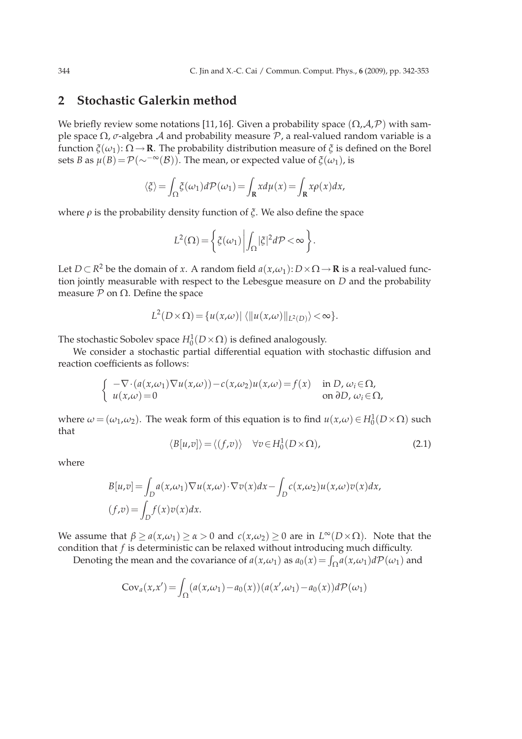## **2 Stochastic Galerkin method**

We briefly review some notations [11, 16]. Given a probability space  $(\Omega, \mathcal{A}, \mathcal{P})$  with sample space <sup>Ω</sup>, *<sup>σ</sup>*-algebra A and probability measure P, a real-valued random variable is a function  $\zeta(\omega_1): \Omega \to \mathbf{R}$ . The probability distribution measure of  $\zeta$  is defined on the Borel sets *B* as  $\mu(B) = \mathcal{P}(\sim^{-\infty}(\mathcal{B}))$ . The mean, or expected value of  $\xi(\omega_1)$ , is

$$
\langle \xi \rangle = \int_{\Omega} \xi(\omega_1) d\mathcal{P}(\omega_1) = \int_{\mathbf{R}} x d\mu(x) = \int_{\mathbf{R}} x \rho(x) dx,
$$

where  $\rho$  is the probability density function of  $\zeta$ . We also define the space

$$
L^{2}(\Omega) = \left\{ \xi(\omega_{1}) \left| \int_{\Omega} |\xi|^{2} d\mathcal{P} < \infty \right. \right\}.
$$

Let *D* ⊂ *R*<sup>2</sup> be the domain of *x*. A random field *a*(*x*,*ω*<sub>1</sub>): *D* × Ω→**R** is a real-valued function jointly measurable with respect to the Lebesgue measure on *D* and the probability measure  $P$  on  $Ω$ . Define the space

$$
L^2(D\times\Omega) = \{u(x,\omega) | \langle ||u(x,\omega)||_{L^2(D)}\rangle < \infty\}.
$$

The stochastic Sobolev space  $H_0^1(D \times \Omega)$  is defined analogously.

We consider a stochastic partial differential equation with stochastic diffusion and reaction coefficients as follows:

$$
\begin{cases}\n-\nabla \cdot (a(x,\omega_1)\nabla u(x,\omega)) - c(x,\omega_2)u(x,\omega) = f(x) & \text{in } D, \omega_i \in \Omega, \\
u(x,\omega) = 0 & \text{on } \partial D, \omega_i \in \Omega,\n\end{cases}
$$

where  $\omega = (\omega_1, \omega_2)$ . The weak form of this equation is to find  $u(x, \omega) \in H_0^1(D \times \Omega)$  such that

$$
\langle B[u,v]\rangle = \langle (f,v)\rangle \quad \forall v \in H_0^1(D \times \Omega), \tag{2.1}
$$

where

$$
B[u,v] = \int_D a(x,\omega_1) \nabla u(x,\omega) \cdot \nabla v(x) dx - \int_D c(x,\omega_2) u(x,\omega) v(x) dx,
$$
  
(f,v) =  $\int_D f(x) v(x) dx$ .

We assume that  $\beta \ge a(x,\omega_1) \ge \alpha > 0$  and  $c(x,\omega_2) \ge 0$  are in  $L^{\infty}(D \times \Omega)$ . Note that the condition that *f* is deterministic can be relaxed without introducing much difficulty.

Denoting the mean and the covariance of  $a(x, \omega_1)$  as  $a_0(x) = \int_{\Omega} a(x, \omega_1) dP(\omega_1)$  and

$$
Cov_a(x, x') = \int_{\Omega} (a(x, \omega_1) - a_0(x))(a(x', \omega_1) - a_0(x))d\mathcal{P}(\omega_1)
$$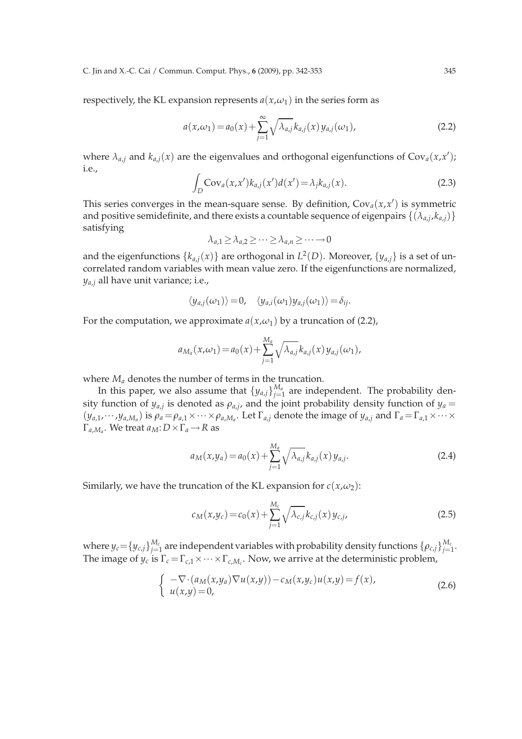C. Jin and X.-C. Cai / Commun. Comput. Phys., **6** (2009), pp. 342-353 345

respectively, the KL expansion represents  $a(x, \omega_1)$  in the series form as

$$
a(x,\omega_1) = a_0(x) + \sum_{j=1}^{\infty} \sqrt{\lambda_{a,j}} k_{a,j}(x) y_{a,j}(\omega_1),
$$
 (2.2)

where  $\lambda_{a,j}$  and  $k_{a,j}(x)$  are the eigenvalues and orthogonal eigenfunctions of  $Cov_a(x,x')$ ; i.e.,

$$
\int_{D} \text{Cov}_a(x, x') k_{a,j}(x') d(x') = \lambda_j k_{a,j}(x).
$$
 (2.3)

This series converges in the mean-square sense. By definition,  $Cov_a(x, x')$  is symmetric and positive semidefinite, and there exists a countable sequence of eigenpairs  $\{(\lambda_{a,j}, k_{a,j})\}$ satisfying

$$
\lambda_{a,1} \geq \lambda_{a,2} \geq \cdots \geq \lambda_{a,n} \geq \cdots \to 0
$$

and the eigenfunctions  $\{k_{a,j}(x)\}$  are orthogonal in  $L^2(D)$ . Moreover,  $\{y_{a,j}\}$  is a set of uncorrelated random variables with mean value zero. If the eigenfunctions are normalized, *ya*,*<sup>j</sup>* all have unit variance; i.e.,

$$
\langle y_{a,j}(\omega_1)\rangle=0, \quad \langle y_{a,i}(\omega_1)y_{a,j}(\omega_1)\rangle=\delta_{ij}.
$$

For the computation, we approximate  $a(x, \omega_1)$  by a truncation of (2.2),

$$
a_{M_a}(x,\omega_1) = a_0(x) + \sum_{j=1}^{M_a} \sqrt{\lambda_{a,j}} k_{a,j}(x) y_{a,j}(\omega_1),
$$

where *M<sup>a</sup>* denotes the number of terms in the truncation.

In this paper, we also assume that  $\{y_{a,j}\}_{j=1}^{M_a}$  $\hat{g}^{\scriptscriptstyle{M_a}}_{j=1}$  are independent. The probability density function of  $y_{a,j}$  is denoted as  $\rho_{a,j}$ , and the joint probability density function of  $y_a$  $(y_{a,1},\cdots,y_{a,M_a})$  is  $\rho_a=\rho_{a,1}\times\cdots\times\rho_{a,M_a}$ . Let  $\Gamma_{a,j}$  denote the image of  $y_{a,j}$  and  $\Gamma_a=\Gamma_{a,1}\times\cdots\times\Gamma_{a,j}$  $\Gamma_{a,M_a}$ . We treat  $a_M: D \times \Gamma_a \longrightarrow R$  as

$$
a_M(x,y_a) = a_0(x) + \sum_{j=1}^{M_a} \sqrt{\lambda_{a,j}} k_{a,j}(x) y_{a,j}.
$$
 (2.4)

Similarly, we have the truncation of the KL expansion for  $c(x, \omega_2)$ :

$$
c_M(x,y_c) = c_0(x) + \sum_{j=1}^{M_c} \sqrt{\lambda_{c,j}} k_{c,j}(x) y_{c,j},
$$
\n(2.5)

where  $y_c{=}\{y_{c,j}\}_{j=1}^{M_c}$  $_{j=1}^{M_c}$  are independent variables with probability density functions  $\{\rho_{c,j}\}_{j=1}^{M_c}$ *j*=1 . The image of  $y_c$  is  $\Gamma_c = \Gamma_{c,1} \times \cdots \times \Gamma_{c,M_c}$ . Now, we arrive at the deterministic problem,

$$
\begin{cases}\n-\nabla \cdot (a_M(x,y_a)\nabla u(x,y)) - c_M(x,y_c)u(x,y) = f(x), \\
u(x,y) = 0,\n\end{cases}
$$
\n(2.6)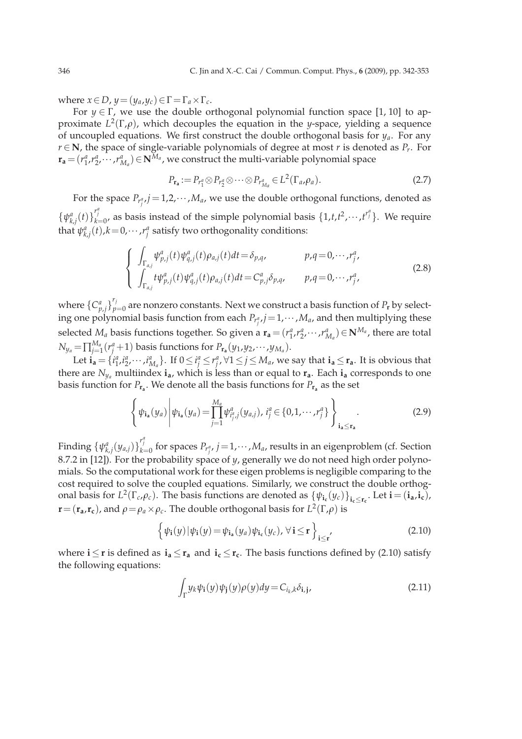where  $x \in D$ ,  $y = (y_a, y_c) \in \Gamma = \Gamma_a \times \Gamma_c$ .

For  $y \in \Gamma$ , we use the double orthogonal polynomial function space [1, 10] to approximate *L* 2 (Γ,*ρ*), which decouples the equation in the *y*-space, yielding a sequence of uncoupled equations. We first construct the double orthogonal basis for *ya*. For any *r* ∈ **N**, the space of single-variable polynomials of degree at most *r* is denoted as *P*<sub>*r*</sub>. For  $\mathbf{r_a} = (r^a_1, r^a_2, \cdots, r^a_{M_a}) \in \mathbf{N}^{M_a}$ , we construct the multi-variable polynomial space

$$
P_{\mathbf{r}_a} := P_{r_1^a} \otimes P_{r_2^a} \otimes \cdots \otimes P_{r_{M_a}^a} \in L^2(\Gamma_a, \rho_a). \tag{2.7}
$$

For the space  $P_{r_j^a,j} = 1,2,\cdots,M_a$ , we use the double orthogonal functions, denoted as  $\{\psi_{k,j}^a(t)\}_{k=0}^{r_j^a}$ , as basis instead of the simple polynomial basis  $\{1,t,t^2,\dots,t^{r_j^a}\}$ . We require that  $\psi_{k,j}^a(t)$ , $k=0,\cdots,r_j^a$  satisfy two orthogonality conditions:

$$
\begin{cases}\n\int_{\Gamma_{a,j}} \psi_{p,j}^{a}(t) \psi_{q,j}^{a}(t) \rho_{a,j}(t) dt = \delta_{p,q}, & p,q = 0, \cdots, r_{j}^{a}, \\
\int_{\Gamma_{a,j}} t \psi_{p,j}^{a}(t) \psi_{q,j}^{a}(t) \rho_{a,j}(t) dt = C_{p,j}^{a} \delta_{p,q}, & p,q = 0, \cdots, r_{j}^{a},\n\end{cases}
$$
\n(2.8)

where  $\{C_{p,j}^a\}_{p}^{r_j}$  $p_{p=0}^{T}$  are nonzero constants. Next we construct a basis function of  $P_{\bf r}$  by selecting one polynomial basis function from each  $P_{r_j^a,j} = 1, \cdots, M_a$ , and then multiplying these selected  $M_a$  basis functions together. So given a  $\mathbf{r}_a = (r_1^a, r_2^a, \dots, r_{M_a}^a) \in \mathbf{N}^{M_a}$ , there are total  $N_{y_{a}}\!=\!\prod_{j=1}^{M_{a}}$  $\frac{M_a}{j=1}(r_j^a+1)$  basis functions for  $P_{\mathbf{r_a}}(y_1,y_2,\cdots,y_{M_a}).$ 

Let  $\mathbf{i_a}=\{i^a_1,i^a_2,\cdots,i^a_{M_a}\}.$  If  $0\!\le\!i^a_j\!\le\!r^a_j$ ,  $\forall 1\!\le\!j\!\le\!M_a$ , we say that  $\mathbf{i_a}\!\le\!\mathbf{r_a}.$  It is obvious that there are  $N_{y_a}$  multiindex  $\mathbf{i}_a$ , which is less than or equal to  $\mathbf{r}_a$ . Each  $\mathbf{i}_a$  corresponds to one basis function for  $P_{\mathbf{r_a}}$ . We denote all the basis functions for  $P_{\mathbf{r_a}}$  as the set

$$
\left\{\psi_{\mathbf{i}_a}(y_a)\middle|\psi_{\mathbf{i}_a}(y_a)=\prod_{j=1}^{M_a}\psi_{i_j^a,j}^a(y_{a,j}),\,i_j^a\in\{0,1,\cdots,r_j^a\}\right\}_{\mathbf{i}_a\leq\mathbf{r}_a}.\tag{2.9}
$$

Finding  $\{\psi_{k,j}^a(y_{a,j})\}_{k=0}^{r_j^a}$  for spaces  $P_{r_j^a}$ ,  $j=1,\cdots,M_a$ , results in an eigenproblem (cf. Section 8.7.2 in [12]). For the probability space of *y*, generally we do not need high order polynomials. So the computational work for these eigen problems is negligible comparing to the cost required to solve the coupled equations. Similarly, we construct the double orthogonal basis for  $L^2(\Gamma_c, \rho_c)$ . The basis functions are denoted as  $\{\psi_{i_c}(y_c)\}_{i_c \le r_c}$ . Let  $\mathbf{i} = (\mathbf{i}_a, \mathbf{i}_c)$ , *r* = ( $\mathbf{r}_a$ , $\mathbf{r}_c$ ), and  $\rho = \rho_a \times \rho_c$ . The double orthogonal basis for  $L^2(\Gamma, \rho)$  is

$$
\left\{\psi_{\mathbf{i}}(y)|\psi_{\mathbf{i}}(y) = \psi_{\mathbf{i}_{\mathbf{a}}}(y_a)\psi_{\mathbf{i}_{\mathbf{c}}}(y_c), \,\forall \,\mathbf{i} \leq \mathbf{r}\right\}_{\mathbf{i} \leq \mathbf{r}'}\tag{2.10}
$$

where  $\mathbf{i} \leq \mathbf{r}$  is defined as  $\mathbf{i}_a \leq \mathbf{r}_a$  and  $\mathbf{i}_c \leq \mathbf{r}_c$ . The basis functions defined by (2.10) satisfy the following equations:

$$
\int_{\Gamma} y_k \psi_i(y) \psi_j(y) \rho(y) dy = C_{i_k, k} \delta_{i, j},
$$
\n(2.11)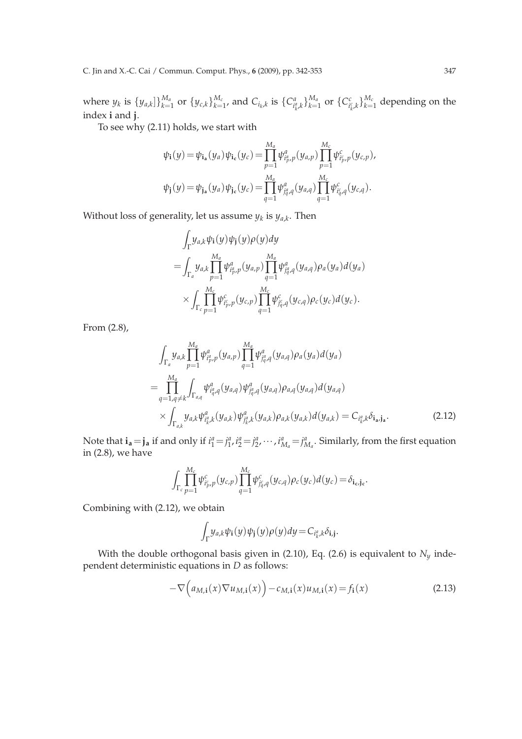where  $y_k$  is  $\{y_{a,k}\}\}_{k=1}^{M_a}$  $_{k=1}^{M_a}$  or  $\{y_{c,k}\}_{k=1}^{M_c}$  $_{k=1}^{M_c}$ , and  $C_{i_k,k}$  is  $\{C_{i_k^a,k}^a\}_{k=1}^{M_a}$  $_{k=1}^{M_a}$  or  $\{C_{i_k^c,k}^c\}_{k=1}^{M_c}$  $\frac{M_{c}}{k=1}$  depending on the index **i** and **j**.

To see why (2.11) holds, we start with

$$
\psi_{\mathbf{i}}(y) = \psi_{\mathbf{i}_{\mathbf{a}}}(y_a)\psi_{\mathbf{i}_{\mathbf{c}}}(y_c) = \prod_{p=1}^{M_a} \psi_{i^a_p, p}^a(y_{a, p}) \prod_{p=1}^{M_c} \psi_{i^c_p, p}^c(y_{c, p}),
$$
  

$$
\psi_{\mathbf{j}}(y) = \psi_{\mathbf{j}_{\mathbf{a}}}(y_a)\psi_{\mathbf{j}_{\mathbf{c}}}(y_c) = \prod_{q=1}^{M_a} \psi_{j^a_q, q}^a(y_{a, q}) \prod_{q=1}^{M_c} \psi_{i^c_q, q}^c(y_{c, q}).
$$

Without loss of generality, let us assume  $y_k$  is  $y_{a,k}$ . Then

$$
\int_{\Gamma} y_{a,k} \psi_{\mathbf{i}}(y) \psi_{\mathbf{j}}(y) \rho(y) dy
$$
\n
$$
= \int_{\Gamma_a} y_{a,k} \prod_{p=1}^{M_a} \psi_{i_p^a,p}^a(y_{a,p}) \prod_{q=1}^{M_a} \psi_{j_q^a,q}^a(y_{a,q}) \rho_a(y_a) d(y_a)
$$
\n
$$
\times \int_{\Gamma_c} \prod_{p=1}^{M_c} \psi_{i_p^c,p}^c(y_{c,p}) \prod_{q=1}^{M_c} \psi_{j_q^c,q}^c(y_{c,q}) \rho_c(y_c) d(y_c).
$$

From (2.8),

$$
\int_{\Gamma_a} y_{a,k} \prod_{p=1}^{M_a} \psi_{i_p, p}^a(y_{a,p}) \prod_{q=1}^{M_a} \psi_{j_q^a, q}^a(y_{a,q}) \rho_a(y_a) d(y_a)
$$
\n
$$
= \prod_{q=1, q \neq k}^{M_a} \int_{\Gamma_{a,q}} \psi_{i_q^a, q}^a(y_{a,q}) \psi_{j_q^a, q}^a(y_{a,q}) \rho_{a,q}(y_{a,q}) d(y_{a,q})
$$
\n
$$
\times \int_{\Gamma_{a,k}} y_{a,k} \psi_{i_k^a, k}^a(y_{a,k}) \psi_{j_k^a, k}^a(y_{a,k}) \rho_{a,k}(y_{a,k}) d(y_{a,k}) = C_{i_k^a, k} \delta_{\mathbf{i_a, \mathbf{j_a}}}.
$$
\n(2.12)

Note that  $\mathbf{i}_a = \mathbf{j}_a$  if and only if  $i_1^a = j_1^a$ ,  $i_2^a = j_2^a$ ,  $\cdots$ ,  $i_{M_a}^a = j_{M_a}^a$ . Similarly, from the first equation in (2.8), we have

$$
\int_{\Gamma_c} \prod_{p=1}^{M_c} \psi_{i_p,p}^c(y_{c,p}) \prod_{q=1}^{M_c} \psi_{j_q^c,q}^c(y_{c,q}) \rho_c(y_c) d(y_c) = \delta_{\mathbf{i}_c, \mathbf{j}_c}.
$$

Combining with (2.12), we obtain

$$
\int_{\Gamma} y_{a,k} \psi_{\mathbf{i}}(y) \psi_{\mathbf{j}}(y) \rho(y) dy = C_{i_{k}^{a},k} \delta_{\mathbf{i},\mathbf{j}}.
$$

With the double orthogonal basis given in (2.10), Eq. (2.6) is equivalent to  $N_y$  independent deterministic equations in *D* as follows:

$$
-\nabla \Big(a_{M,i}(x)\nabla u_{M,i}(x)\Big) - c_{M,i}(x)u_{M,i}(x) = f_i(x) \tag{2.13}
$$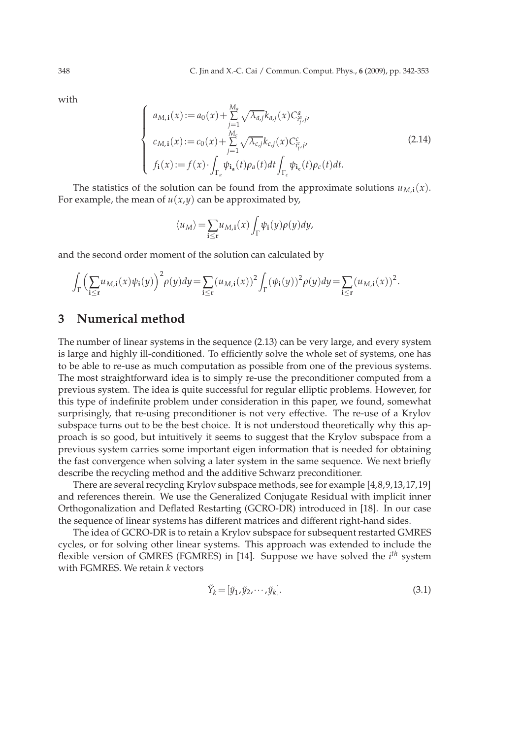with

$$
\begin{cases}\na_{M,i}(x) := a_0(x) + \sum_{j=1}^{M_a} \sqrt{\lambda_{a,j}} k_{a,j}(x) C_{i_j, j'}^a, \\
c_{M,i}(x) := c_0(x) + \sum_{j=1}^{M_c} \sqrt{\lambda_{c,j}} k_{c,j}(x) C_{i_j, j'}^c, \\
f_i(x) := f(x) \cdot \int_{\Gamma_a} \psi_{i_a}(t) \rho_a(t) dt \int_{\Gamma_c} \psi_{i_c}(t) \rho_c(t) dt.\n\end{cases}
$$
\n(2.14)

The statistics of the solution can be found from the approximate solutions  $u_{M,i}(x)$ . For example, the mean of  $u(x,y)$  can be approximated by,

$$
\langle u_M \rangle = \sum_{\mathbf{i} \leq \mathbf{r}} u_{M,\mathbf{i}}(x) \int_{\Gamma} \psi_{\mathbf{i}}(y) \rho(y) dy,
$$

and the second order moment of the solution can calculated by

$$
\int_{\Gamma}\Big(\sum_{\mathbf{i}\leq\mathbf{r}}u_{M,\mathbf{i}}(x)\psi_{\mathbf{i}}(y)\Big)^{2}\rho(y)dy=\sum_{\mathbf{i}\leq\mathbf{r}}(u_{M,\mathbf{i}}(x))^{2}\int_{\Gamma}(\psi_{\mathbf{i}}(y))^{2}\rho(y)dy=\sum_{\mathbf{i}\leq\mathbf{r}}(u_{M,\mathbf{i}}(x))^{2}.
$$

### **3 Numerical method**

The number of linear systems in the sequence (2.13) can be very large, and every system is large and highly ill-conditioned. To efficiently solve the whole set of systems, one has to be able to re-use as much computation as possible from one of the previous systems. The most straightforward idea is to simply re-use the preconditioner computed from a previous system. The idea is quite successful for regular elliptic problems. However, for this type of indefinite problem under consideration in this paper, we found, somewhat surprisingly, that re-using preconditioner is not very effective. The re-use of a Krylov subspace turns out to be the best choice. It is not understood theoretically why this approach is so good, but intuitively it seems to suggest that the Krylov subspace from a previous system carries some important eigen information that is needed for obtaining the fast convergence when solving a later system in the same sequence. We next briefly describe the recycling method and the additive Schwarz preconditioner.

There are several recycling Krylov subspace methods, see for example [4,8,9,13,17,19] and references therein. We use the Generalized Conjugate Residual with implicit inner Orthogonalization and Deflated Restarting (GCRO-DR) introduced in [18]. In our case the sequence of linear systems has different matrices and different right-hand sides.

The idea of GCRO-DR is to retain a Krylov subspace for subsequent restarted GMRES cycles, or for solving other linear systems. This approach was extended to include the flexible version of GMRES (FGMRES) in [14]. Suppose we have solved the *i th* system with FGMRES. We retain *k* vectors

$$
\tilde{Y}_k = [\tilde{y}_1, \tilde{y}_2, \cdots, \tilde{y}_k].
$$
\n(3.1)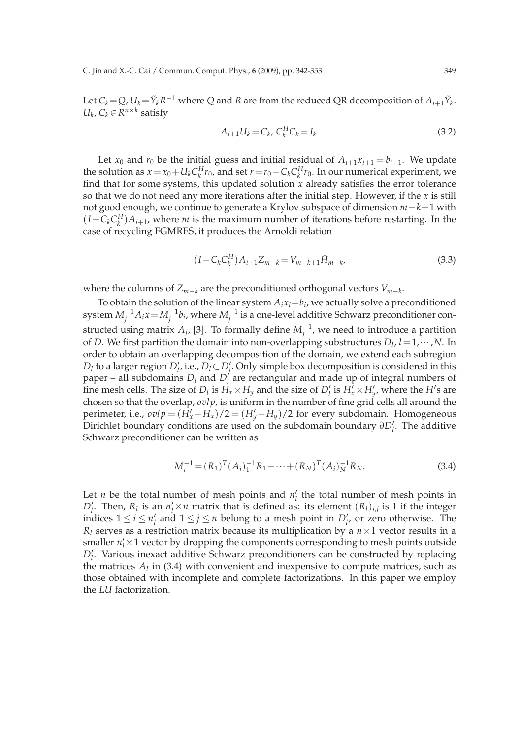Let  $C_k$  = Q,  $U_k$  =  $\tilde{Y}_k R^{-1}$  where Q and R are from the reduced QR decomposition of  $A_{i+1} \tilde{Y}_k$ . *U*<sup>*k*</sup>, *C*<sup>*k*∈*R*<sup>*n*×*k*</sup></sub> satisfy</sup>

$$
A_{i+1}U_k = C_k, C_k^H C_k = I_k.
$$
\n(3.2)

Let  $x_0$  and  $r_0$  be the initial guess and initial residual of  $A_{i+1}x_{i+1} = b_{i+1}$ . We update the solution as  $x = x_0 + U_k C_k^H r_0$ , and set  $r = r_0 - C_k C_k^H r_0$ . In our numerical experiment, we find that for some systems, this updated solution *x* already satisfies the error tolerance so that we do not need any more iterations after the initial step. However, if the *x* is still not good enough, we continue to generate a Krylov subspace of dimension *m*−*k*+1 with  $(I - C_k C_k^H) A_{i+1}$ , where *m* is the maximum number of iterations before restarting. In the case of recycling FGMRES, it produces the Arnoldi relation

$$
(I - C_k C_k^H) A_{i+1} Z_{m-k} = V_{m-k+1} \bar{H}_{m-k},
$$
\n(3.3)

where the columns of *Zm*−*<sup>k</sup>* are the preconditioned orthogonal vectors *Vm*−*<sup>k</sup>* .

To obtain the solution of the linear system  $A_i x_i = b_i$ , we actually solve a preconditioned system  $M_j^{-1}A_ix\!=\!M_j^{-1}b_i$ , where  $M_j^{-1}$  is a one-level additive Schwarz preconditioner constructed using matrix  $A_j$ , [3]. To formally define  $M_j^{-1}$ , we need to introduce a partition of *D*. We first partition the domain into non-overlapping substructures *D<sup>l</sup>* , *l*=1,···,*N*. In order to obtain an overlapping decomposition of the domain, we extend each subregion *D*<sub>*l*</sub> to a larger region *D*<sup>*l*</sup><sub>*l*</sub>, i.e., *D*<sub>*l*</sub>⊂*D*<sup>*l*</sup><sub>*l*</sub>. Only simple box decomposition is considered in this paper – all subdomains *D<sup>l</sup>* and *D*′ *l* are rectangular and made up of integral numbers of fine mesh cells. The size of  $D_l$  is  $H_x \times H_y$  and the size of  $D'_l$  is  $H'_x \times H'_y$ , where the  $H'$ s are chosen so that the overlap, *ovlp*, is uniform in the number of fine grid cells all around the perimeter, i.e.,  $\omega l p = (H'_x - H_x)/2 = (H'_y - H_y)/2$  for every subdomain. Homogeneous Dirichlet boundary conditions are used on the subdomain boundary *∂D*′ *l* . The additive Schwarz preconditioner can be written as

$$
M_i^{-1} = (R_1)^T (A_i)_1^{-1} R_1 + \dots + (R_N)^T (A_i)_N^{-1} R_N.
$$
 (3.4)

Let *n* be the total number of mesh points and  $n'_l$  the total number of mesh points in *D*<sup> $\prime$ </sup><sub>*l*</sub>. Then, *R*<sub>*l*</sub> is an *n*<sup> $\prime$ </sup><sub>*l*</sub>×*n* matrix that is defined as: its element  $(R_l)_{i,j}$  is 1 if the integer indices  $1 \le i \le n'_l$  and  $1 \le j \le n$  belong to a mesh point in  $D'_l$ , or zero otherwise. The  $R_l$  serves as a restriction matrix because its multiplication by a  $n \times 1$  vector results in a smaller  $n'_l \times 1$  vector by dropping the components corresponding to mesh points outside *D*′ *l* . Various inexact additive Schwarz preconditioners can be constructed by replacing the matrices  $A_l$  in (3.4) with convenient and inexpensive to compute matrices, such as those obtained with incomplete and complete factorizations. In this paper we employ the *LU* factorization.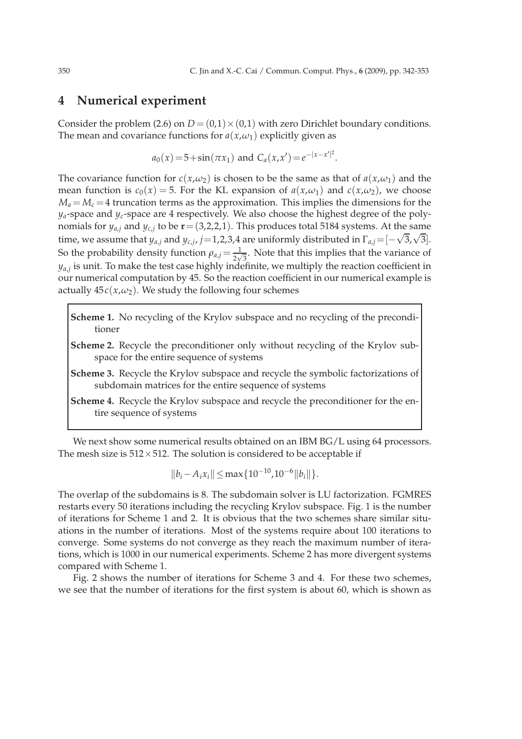#### **4 Numerical experiment**

Consider the problem (2.6) on  $D = (0,1) \times (0,1)$  with zero Dirichlet boundary conditions. The mean and covariance functions for  $a(x, \omega_1)$  explicitly given as

$$
a_0(x) = 5 + \sin(\pi x_1)
$$
 and  $C_a(x, x') = e^{-|x - x'|^2}$ .

The covariance function for  $c(x, \omega_2)$  is chosen to be the same as that of  $a(x, \omega_1)$  and the mean function is  $c_0(x) = 5$ . For the KL expansion of  $a(x, \omega_1)$  and  $c(x, \omega_2)$ , we choose  $M_a = M_c = 4$  truncation terms as the approximation. This implies the dimensions for the *ya*-space and *yc*-space are 4 respectively. We also choose the highest degree of the polynomials for  $y_{a,j}$  and  $y_{c,j}$  to be  $\mathbf{r}$  = (3,2,2,1). This produces total 5184 systems. At the same time, we assume that  $y_{a,j}$  and  $y_{c,j}$ ,  $j=1,2,3,4$  are uniformly distributed in  $\Gamma_{a,j} = [-\sqrt{3},\sqrt{3}]$ . So the probability density function  $\rho_{a,j} = \frac{1}{2\sqrt{3}}$ . Note that this implies that the variance of *ya*,*<sup>j</sup>* is unit. To make the test case highly indefinite, we multiply the reaction coefficient in our numerical computation by 45. So the reaction coefficient in our numerical example is actually  $45c(x,\omega_2)$ . We study the following four schemes

**Scheme 1.** No recycling of the Krylov subspace and no recycling of the preconditioner

- **Scheme 2.** Recycle the preconditioner only without recycling of the Krylov subspace for the entire sequence of systems
- **Scheme 3.** Recycle the Krylov subspace and recycle the symbolic factorizations of subdomain matrices for the entire sequence of systems
- **Scheme 4.** Recycle the Krylov subspace and recycle the preconditioner for the entire sequence of systems

We next show some numerical results obtained on an IBM BG/L using 64 processors. The mesh size is  $512 \times 512$ . The solution is considered to be acceptable if

$$
||b_i - A_i x_i|| \le \max\{10^{-10}, 10^{-6} ||b_i||\}.
$$

The overlap of the subdomains is 8. The subdomain solver is LU factorization. FGMRES restarts every 50 iterations including the recycling Krylov subspace. Fig. 1 is the number of iterations for Scheme 1 and 2. It is obvious that the two schemes share similar situations in the number of iterations. Most of the systems require about 100 iterations to converge. Some systems do not converge as they reach the maximum number of iterations, which is 1000 in our numerical experiments. Scheme 2 has more divergent systems compared with Scheme 1.

Fig. 2 shows the number of iterations for Scheme 3 and 4. For these two schemes, we see that the number of iterations for the first system is about 60, which is shown as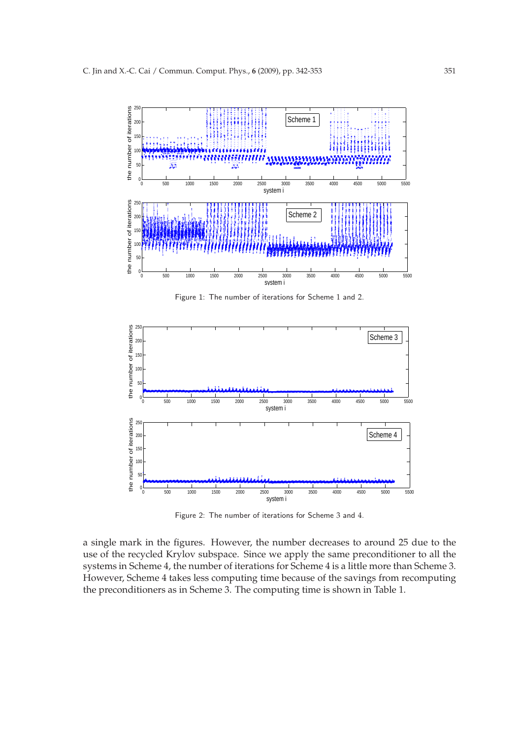

Figure 1: The number of iterations for Scheme 1 and 2.



Figure 2: The number of iterations for Scheme 3 and 4.

a single mark in the figures. However, the number decreases to around 25 due to the use of the recycled Krylov subspace. Since we apply the same preconditioner to all the systems in Scheme 4, the number of iterations for Scheme 4 is a little more than Scheme 3. However, Scheme 4 takes less computing time because of the savings from recomputing the preconditioners as in Scheme 3. The computing time is shown in Table 1.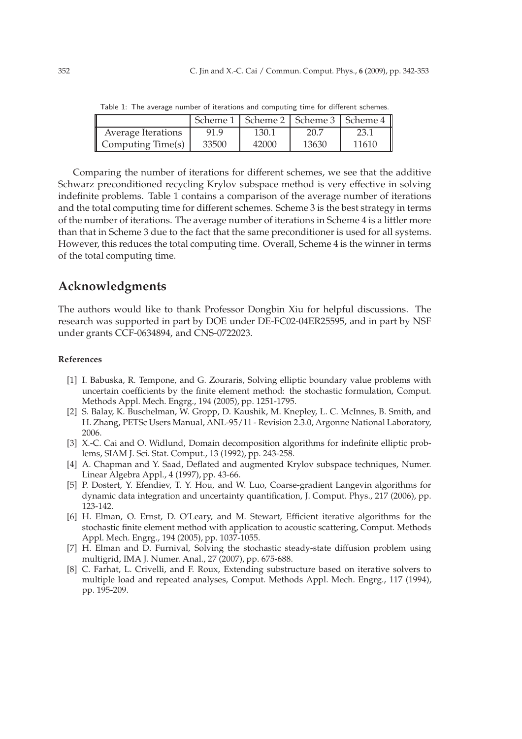|                           |       |       |       | Scheme 1   Scheme 2   Scheme 3   Scheme 4 |
|---------------------------|-------|-------|-------|-------------------------------------------|
| <b>Average Iterations</b> | 91.9  | 130.1 | 20.7  | 23.1                                      |
| Computing Time(s)         | 33500 | 42000 | 13630 | 11610                                     |

Table 1: The average number of iterations and computing time for different schemes.

Comparing the number of iterations for different schemes, we see that the additive Schwarz preconditioned recycling Krylov subspace method is very effective in solving indefinite problems. Table 1 contains a comparison of the average number of iterations and the total computing time for different schemes. Scheme 3 is the best strategy in terms of the number of iterations. The average number of iterations in Scheme 4 is a littler more than that in Scheme 3 due to the fact that the same preconditioner is used for all systems. However, this reduces the total computing time. Overall, Scheme 4 is the winner in terms of the total computing time.

# **Acknowledgments**

The authors would like to thank Professor Dongbin Xiu for helpful discussions. The research was supported in part by DOE under DE-FC02-04ER25595, and in part by NSF under grants CCF-0634894, and CNS-0722023.

#### **References**

- [1] I. Babuska, R. Tempone, and G. Zouraris, Solving elliptic boundary value problems with uncertain coefficients by the finite element method: the stochastic formulation, Comput. Methods Appl. Mech. Engrg., 194 (2005), pp. 1251-1795.
- [2] S. Balay, K. Buschelman, W. Gropp, D. Kaushik, M. Knepley, L. C. McInnes, B. Smith, and H. Zhang, PETSc Users Manual, ANL-95/11 - Revision 2.3.0, Argonne National Laboratory, 2006.
- [3] X.-C. Cai and O. Widlund, Domain decomposition algorithms for indefinite elliptic problems, SIAM J. Sci. Stat. Comput., 13 (1992), pp. 243-258.
- [4] A. Chapman and Y. Saad, Deflated and augmented Krylov subspace techniques, Numer. Linear Algebra Appl., 4 (1997), pp. 43-66.
- [5] P. Dostert, Y. Efendiev, T. Y. Hou, and W. Luo, Coarse-gradient Langevin algorithms for dynamic data integration and uncertainty quantification, J. Comput. Phys., 217 (2006), pp. 123-142.
- [6] H. Elman, O. Ernst, D. O'Leary, and M. Stewart, Efficient iterative algorithms for the stochastic finite element method with application to acoustic scattering, Comput. Methods Appl. Mech. Engrg., 194 (2005), pp. 1037-1055.
- [7] H. Elman and D. Furnival, Solving the stochastic steady-state diffusion problem using multigrid, IMA J. Numer. Anal., 27 (2007), pp. 675-688.
- [8] C. Farhat, L. Crivelli, and F. Roux, Extending substructure based on iterative solvers to multiple load and repeated analyses, Comput. Methods Appl. Mech. Engrg., 117 (1994), pp. 195-209.